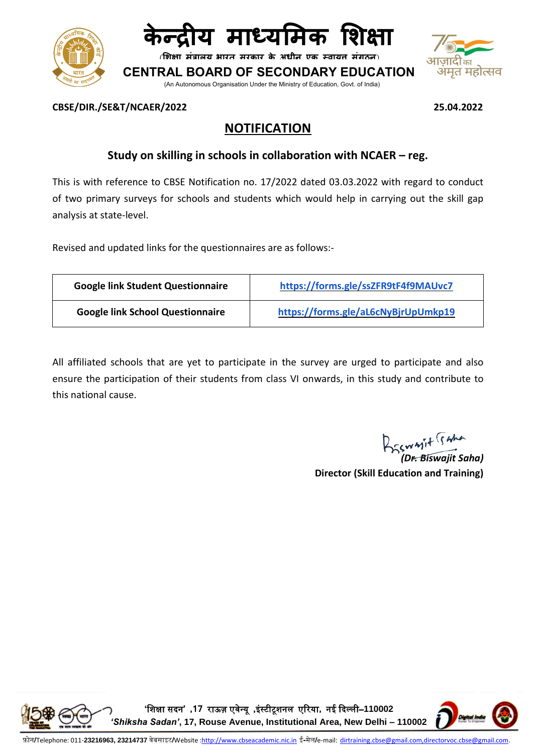



**शिक्षा मंत्रालय भारत सरकार के अधीन एक स्वायत्त संगठन**

**बोर्ड CENTRAL BOARD OF SECONDARY EDUCATION**

(An Autonomous Organisation Under the Ministry of Education, Govt. of India)



#### **CBSE/DIR./SE&T/NCAER/2022 25.04.2022**

# **NOTIFICATION**

# **Study on skilling in schools in collaboration with NCAER – reg.**

This is with reference to CBSE Notification no. 17/2022 dated 03.03.2022 with regard to conduct of two primary surveys for schools and students which would help in carrying out the skill gap analysis at state-level.

Revised and updated links for the questionnaires are as follows:-

| <b>Google link Student Questionnaire</b> | https://forms.gle/ssZFR9tF4f9MAUvc7 |
|------------------------------------------|-------------------------------------|
| <b>Google link School Questionnaire</b>  | https://forms.gle/aL6cNyBjrUpUmkp19 |

All affiliated schools that are yet to participate in the survey are urged to participate and also ensure the participation of their students from class VI onwards, in this study and contribute to this national cause.

Brawnit Suna

*(Dr. Biswajit Saha)* **Director (Skill Education and Training)**